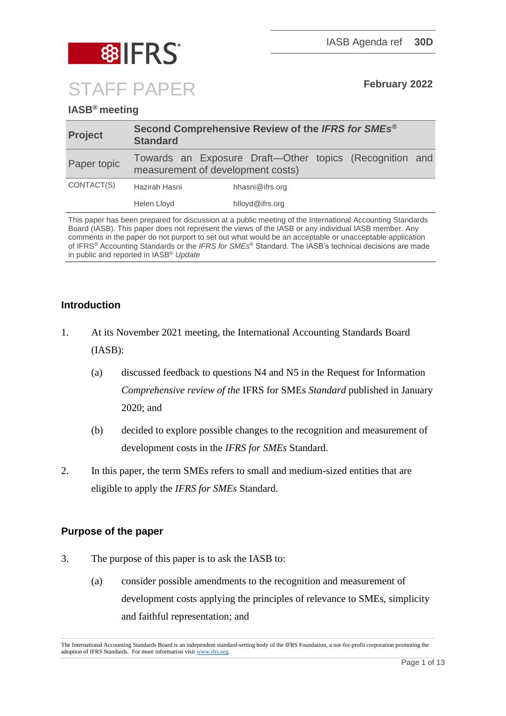

## **IASB® meeting**

| <b>Project</b> | Second Comprehensive Review of the IFRS for SMEs <sup>®</sup><br><b>Standard</b>             |                 |
|----------------|----------------------------------------------------------------------------------------------|-----------------|
| Paper topic    | Towards an Exposure Draft—Other topics (Recognition and<br>measurement of development costs) |                 |
| CONTACT(S)     | Hazirah Hasni                                                                                | hhasni@ifrs.org |
|                | Helen Lloyd                                                                                  | hlloyd@ifrs.org |

This paper has been prepared for discussion at a public meeting of the International Accounting Standards Board (IASB). This paper does not represent the views of the IASB or any individual IASB member. Any comments in the paper do not purport to set out what would be an acceptable or unacceptable application of IFRS® Accounting Standards or the *IFRS for SMEs*® Standard. The IASB's technical decisions are made in public and reported in IASB® *Update*

## **Introduction**

- 1. At its November 2021 meeting, the International Accounting Standards Board (IASB):
	- (a) discussed feedback to questions N4 and N5 in the Request for Information *Comprehensive review of the* IFRS for SMEs *Standard* published in January 2020; and
	- (b) decided to explore possible changes to the recognition and measurement of development costs in the *IFRS for SMEs* Standard.
- 2. In this paper, the term SMEs refers to small and medium-sized entities that are eligible to apply the *IFRS for SMEs* Standard.

## **Purpose of the paper**

- 3. The purpose of this paper is to ask the IASB to:
	- (a) consider possible amendments to the recognition and measurement of development costs applying the principles of relevance to SMEs, simplicity and faithful representation; and

The International Accounting Standards Board is an independent standard-setting body of the IFRS Foundation, a not-for-profit corporation promoting the adoption of IFRS Standards. For more information visit [www.ifrs.org.](http://www.ifrs.org/)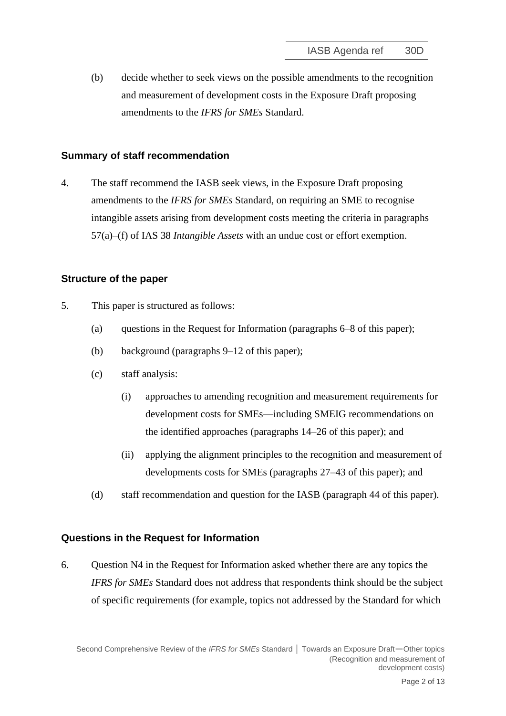(b) decide whether to seek views on the possible amendments to the recognition and measurement of development costs in the Exposure Draft proposing amendments to the *IFRS for SMEs* Standard.

### **Summary of staff recommendation**

4. The staff recommend the IASB seek views, in the Exposure Draft proposing amendments to the *IFRS for SMEs* Standard, on requiring an SME to recognise intangible assets arising from development costs meeting the criteria in paragraphs 57(a)–(f) of IAS 38 *Intangible Assets* with an undue cost or effort exemption.

## **Structure of the paper**

- 5. This paper is structured as follows:
	- (a) questions in the Request for Information (paragraphs [6–](#page-1-0)[8](#page-2-0) of this paper);
	- (b) background (paragraphs [9](#page-2-1)[–12](#page-3-0) of this paper);
	- (c) staff analysis:
		- (i) approaches to amending recognition and measurement requirements for development costs for SMEs—including SMEIG recommendations on the identified approaches (paragraphs [14–](#page-4-0)[26](#page-7-0) of this paper); and
		- (ii) applying the alignment principles to the recognition and measurement of developments costs for SMEs (paragraphs [27–](#page-7-1)[43](#page-12-0) of this paper); and
	- (d) staff recommendation and question for the IASB (paragraph [44](#page-12-1) of this paper).

#### **Questions in the Request for Information**

<span id="page-1-0"></span>6. Question N4 in the Request for Information asked whether there are any topics the *IFRS for SMEs* Standard does not address that respondents think should be the subject of specific requirements (for example, topics not addressed by the Standard for which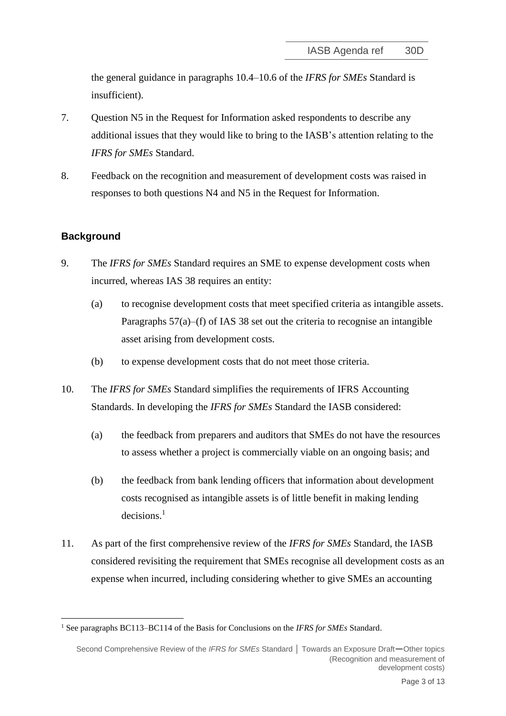the general guidance in paragraphs 10.4–10.6 of the *IFRS for SMEs* Standard is insufficient).

- 7. Question N5 in the Request for Information asked respondents to describe any additional issues that they would like to bring to the IASB's attention relating to the *IFRS for SMEs* Standard.
- <span id="page-2-0"></span>8. Feedback on the recognition and measurement of development costs was raised in responses to both questions N4 and N5 in the Request for Information.

#### **Background**

- <span id="page-2-1"></span>9. The *IFRS for SMEs* Standard requires an SME to expense development costs when incurred, whereas IAS 38 requires an entity:
	- (a) to recognise development costs that meet specified criteria as intangible assets. Paragraphs  $57(a)$ –(f) of IAS 38 set out the criteria to recognise an intangible asset arising from development costs.
	- (b) to expense development costs that do not meet those criteria.
- <span id="page-2-2"></span>10. The *IFRS for SMEs* Standard simplifies the requirements of IFRS Accounting Standards. In developing the *IFRS for SMEs* Standard the IASB considered:
	- (a) the feedback from preparers and auditors that SMEs do not have the resources to assess whether a project is commercially viable on an ongoing basis; and
	- (b) the feedback from bank lending officers that information about development costs recognised as intangible assets is of little benefit in making lending decisions. 1
- 11. As part of the first comprehensive review of the *IFRS for SMEs* Standard, the IASB considered revisiting the requirement that SMEs recognise all development costs as an expense when incurred, including considering whether to give SMEs an accounting

<sup>1</sup> See paragraphs BC113–BC114 of the Basis for Conclusions on the *IFRS for SMEs* Standard.

Second Comprehensive Review of the *IFRS for SMEs* Standard **│** Towards an Exposure Draft—Other topics (Recognition and measurement of development costs)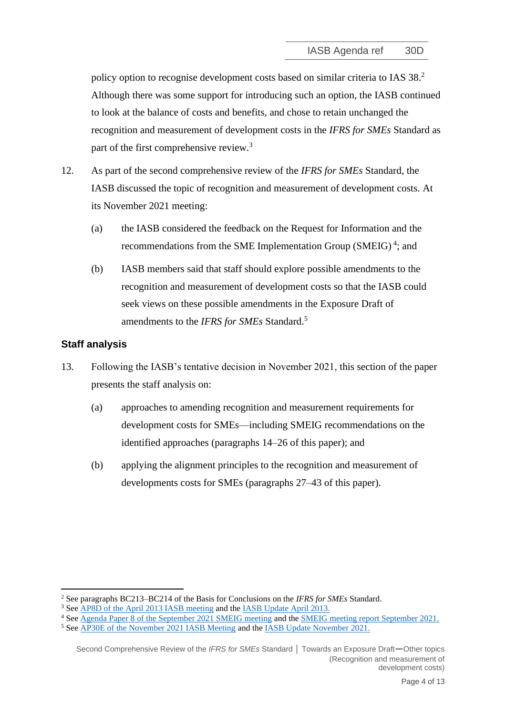policy option to recognise development costs based on similar criteria to IAS 38.<sup>2</sup> Although there was some support for introducing such an option, the IASB continued to look at the balance of costs and benefits, and chose to retain unchanged the recognition and measurement of development costs in the *IFRS for SMEs* Standard as part of the first comprehensive review.<sup>3</sup>

- <span id="page-3-0"></span>12. As part of the second comprehensive review of the *IFRS for SMEs* Standard, the IASB discussed the topic of recognition and measurement of development costs. At its November 2021 meeting:
	- (a) the IASB considered the feedback on the Request for Information and the recommendations from the SME Implementation Group (SMEIG)<sup>4</sup>; and
	- (b) IASB members said that staff should explore possible amendments to the recognition and measurement of development costs so that the IASB could seek views on these possible amendments in the Exposure Draft of amendments to the *IFRS for SMEs* Standard. 5

## **Staff analysis**

- 13. Following the IASB's tentative decision in November 2021, this section of the paper presents the staff analysis on:
	- (a) approaches to amending recognition and measurement requirements for development costs for SMEs—including SMEIG recommendations on the identified approaches (paragraphs [14–](#page-4-0)[26](#page-7-0) of this paper); and
	- (b) applying the alignment principles to the recognition and measurement of developments costs for SMEs (paragraphs [27](#page-7-1)[–43](#page-12-0) of this paper).

<sup>2</sup> See paragraphs BC213–BC214 of the Basis for Conclusions on the *IFRS for SMEs* Standard.

<sup>&</sup>lt;sup>3</sup> Se[e AP8D of the April 2013 IASB meeting](https://www.ifrs.org/content/dam/ifrs/meetings/2013/april/iasb/comprehensive-review-of-ifrs-for-smes/ap8d-accounting-policy-options.pdf) and th[e IASB Update April 2013.](https://www.ifrs.org/content/dam/ifrs/meetings/2013/april/iasb/meeting-summary-apr-2013.pdf)

<sup>4</sup> Se[e Agenda Paper 8 of the September 2021 SMEIG meeting](https://www.ifrs.org/content/dam/ifrs/meetings/2021/september/sme-implementation-group/ap8-smeig-paper-other-topics.pdf) and the [SMEIG meeting report September 2021.](https://www.ifrs.org/content/dam/ifrs/meetings/2021/september/sme-implementation-group/smeig-report-sept-2021.pdf)

<sup>5</sup> Se[e AP30E of the November 2021 IASB Meeting](https://www.ifrs.org/content/dam/ifrs/meetings/2021/november/iasb/ap30e-sme-other-topics-with-no-amendments-recommended.pdf) and th[e IASB Update November 2021.](https://www.ifrs.org/news-and-events/updates/iasb/2021/iasb-update-november-2021/#7)

Second Comprehensive Review of the *IFRS for SMEs* Standard **│** Towards an Exposure Draft—Other topics (Recognition and measurement of development costs)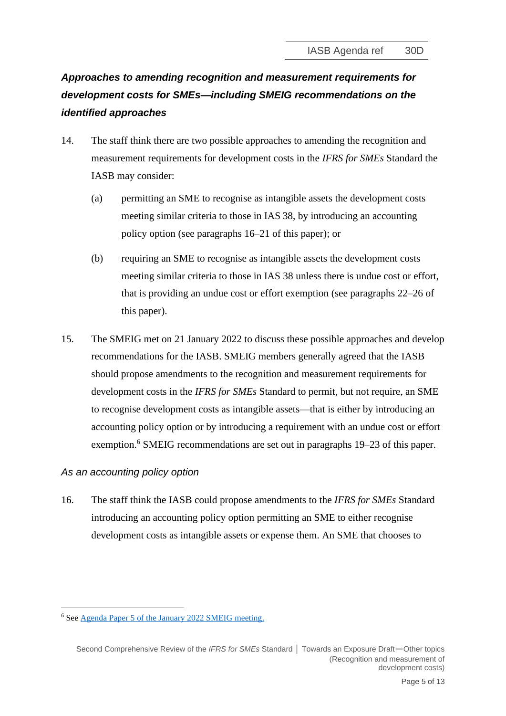# *Approaches to amending recognition and measurement requirements for development costs for SMEs—including SMEIG recommendations on the identified approaches*

- <span id="page-4-0"></span>14. The staff think there are two possible approaches to amending the recognition and measurement requirements for development costs in the *IFRS for SMEs* Standard the IASB may consider:
	- (a) permitting an SME to recognise as intangible assets the development costs meeting similar criteria to those in IAS 38, by introducing an accounting policy option (see paragraphs [16](#page-4-1)[–21](#page-6-0) of this paper); or
	- (b) requiring an SME to recognise as intangible assets the development costs meeting similar criteria to those in IAS 38 unless there is undue cost or effort, that is providing an undue cost or effort exemption (see paragraphs [22–](#page-6-1)[26](#page-7-0) of this paper).
- 15. The SMEIG met on 21 January 2022 to discuss these possible approaches and develop recommendations for the IASB. SMEIG members generally agreed that the IASB should propose amendments to the recognition and measurement requirements for development costs in the *IFRS for SMEs* Standard to permit, but not require, an SME to recognise development costs as intangible assets—that is either by introducing an accounting policy option or by introducing a requirement with an undue cost or effort exemption.<sup>6</sup> SMEIG recommendations are set out in paragraphs [19](#page-5-0)[–23](#page-7-2) of this paper.

## *As an accounting policy option*

<span id="page-4-1"></span>16. The staff think the IASB could propose amendments to the *IFRS for SMEs* Standard introducing an accounting policy option permitting an SME to either recognise development costs as intangible assets or expense them. An SME that chooses to

<sup>6</sup> Se[e Agenda Paper 5 of the January 2022 SMEIG meeting.](https://www.ifrs.org/content/dam/ifrs/meetings/2022/january/smeig/ap5-development-costs-.pdf)

Second Comprehensive Review of the *IFRS for SMEs* Standard **│** Towards an Exposure Draft—Other topics (Recognition and measurement of development costs)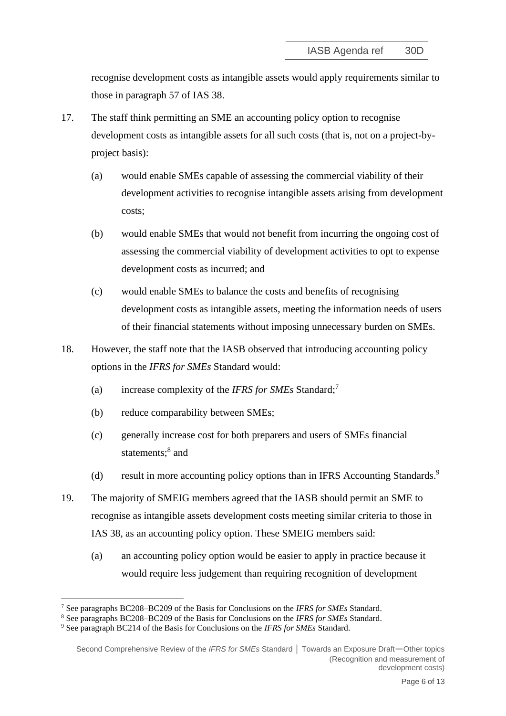recognise development costs as intangible assets would apply requirements similar to those in paragraph 57 of IAS 38.

- 17. The staff think permitting an SME an accounting policy option to recognise development costs as intangible assets for all such costs (that is, not on a project-byproject basis):
	- (a) would enable SMEs capable of assessing the commercial viability of their development activities to recognise intangible assets arising from development costs;
	- (b) would enable SMEs that would not benefit from incurring the ongoing cost of assessing the commercial viability of development activities to opt to expense development costs as incurred; and
	- (c) would enable SMEs to balance the costs and benefits of recognising development costs as intangible assets, meeting the information needs of users of their financial statements without imposing unnecessary burden on SMEs.
- 18. However, the staff note that the IASB observed that introducing accounting policy options in the *IFRS for SMEs* Standard would:
	- (a) increase complexity of the *IFRS for SMEs* Standard;<sup>7</sup>
	- (b) reduce comparability between SMEs;
	- (c) generally increase cost for both preparers and users of SMEs financial statements;<sup>8</sup> and
	- (d) result in more accounting policy options than in IFRS Accounting Standards.<sup>9</sup>
- <span id="page-5-0"></span>19. The majority of SMEIG members agreed that the IASB should permit an SME to recognise as intangible assets development costs meeting similar criteria to those in IAS 38, as an accounting policy option. These SMEIG members said:
	- (a) an accounting policy option would be easier to apply in practice because it would require less judgement than requiring recognition of development

<sup>7</sup> See paragraphs BC208–BC209 of the Basis for Conclusions on the *IFRS for SMEs* Standard.

<sup>8</sup> See paragraphs BC208–BC209 of the Basis for Conclusions on the *IFRS for SMEs* Standard.

<sup>9</sup> See paragraph BC214 of the Basis for Conclusions on the *IFRS for SMEs* Standard.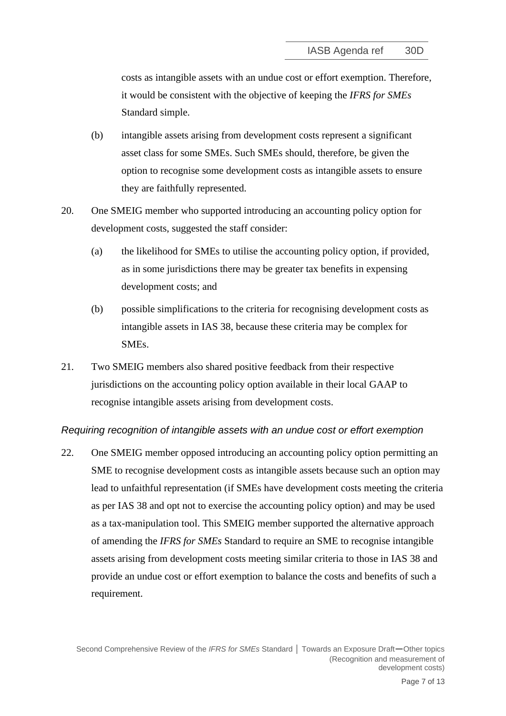costs as intangible assets with an undue cost or effort exemption. Therefore, it would be consistent with the objective of keeping the *IFRS for SMEs* Standard simple.

- (b) intangible assets arising from development costs represent a significant asset class for some SMEs. Such SMEs should, therefore, be given the option to recognise some development costs as intangible assets to ensure they are faithfully represented.
- 20. One SMEIG member who supported introducing an accounting policy option for development costs, suggested the staff consider:
	- (a) the likelihood for SMEs to utilise the accounting policy option, if provided, as in some jurisdictions there may be greater tax benefits in expensing development costs; and
	- (b) possible simplifications to the criteria for recognising development costs as intangible assets in IAS 38, because these criteria may be complex for SMEs.
- <span id="page-6-0"></span>21. Two SMEIG members also shared positive feedback from their respective jurisdictions on the accounting policy option available in their local GAAP to recognise intangible assets arising from development costs.

## *Requiring recognition of intangible assets with an undue cost or effort exemption*

<span id="page-6-1"></span>22. One SMEIG member opposed introducing an accounting policy option permitting an SME to recognise development costs as intangible assets because such an option may lead to unfaithful representation (if SMEs have development costs meeting the criteria as per IAS 38 and opt not to exercise the accounting policy option) and may be used as a tax-manipulation tool. This SMEIG member supported the alternative approach of amending the *IFRS for SMEs* Standard to require an SME to recognise intangible assets arising from development costs meeting similar criteria to those in IAS 38 and provide an undue cost or effort exemption to balance the costs and benefits of such a requirement.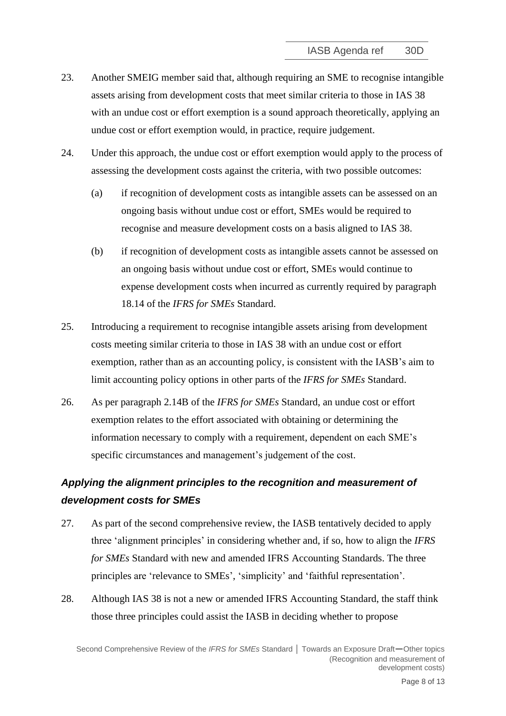- <span id="page-7-2"></span>23. Another SMEIG member said that, although requiring an SME to recognise intangible assets arising from development costs that meet similar criteria to those in IAS 38 with an undue cost or effort exemption is a sound approach theoretically, applying an undue cost or effort exemption would, in practice, require judgement.
- 24. Under this approach, the undue cost or effort exemption would apply to the process of assessing the development costs against the criteria, with two possible outcomes:
	- (a) if recognition of development costs as intangible assets can be assessed on an ongoing basis without undue cost or effort, SMEs would be required to recognise and measure development costs on a basis aligned to IAS 38.
	- (b) if recognition of development costs as intangible assets cannot be assessed on an ongoing basis without undue cost or effort, SMEs would continue to expense development costs when incurred as currently required by paragraph 18.14 of the *IFRS for SMEs* Standard.
- 25. Introducing a requirement to recognise intangible assets arising from development costs meeting similar criteria to those in IAS 38 with an undue cost or effort exemption, rather than as an accounting policy, is consistent with the IASB's aim to limit accounting policy options in other parts of the *IFRS for SMEs* Standard.
- <span id="page-7-0"></span>26. As per paragraph 2.14B of the *IFRS for SMEs* Standard, an undue cost or effort exemption relates to the effort associated with obtaining or determining the information necessary to comply with a requirement, dependent on each SME's specific circumstances and management's judgement of the cost.

## *Applying the alignment principles to the recognition and measurement of development costs for SMEs*

- <span id="page-7-1"></span>27. As part of the second comprehensive review, the IASB tentatively decided to apply three 'alignment principles' in considering whether and, if so, how to align the *IFRS for SMEs* Standard with new and amended IFRS Accounting Standards. The three principles are 'relevance to SMEs', 'simplicity' and 'faithful representation'.
- 28. Although IAS 38 is not a new or amended IFRS Accounting Standard, the staff think those three principles could assist the IASB in deciding whether to propose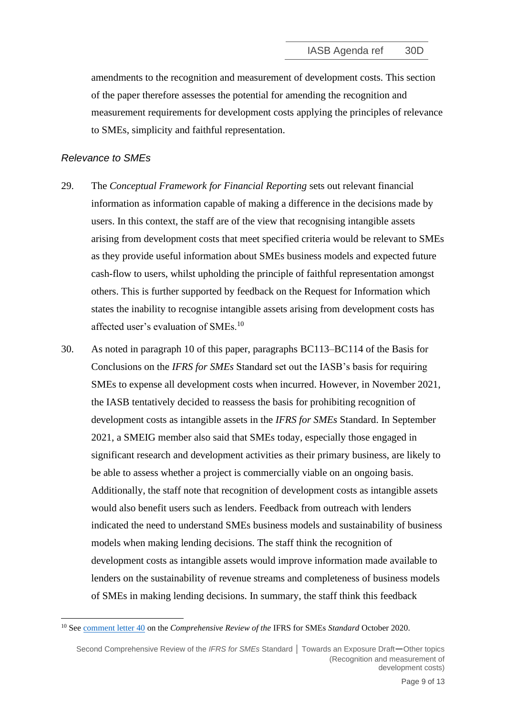amendments to the recognition and measurement of development costs. This section of the paper therefore assesses the potential for amending the recognition and measurement requirements for development costs applying the principles of relevance to SMEs, simplicity and faithful representation.

#### *Relevance to SMEs*

- 29. The *Conceptual Framework for Financial Reporting* sets out relevant financial information as information capable of making a difference in the decisions made by users. In this context, the staff are of the view that recognising intangible assets arising from development costs that meet specified criteria would be relevant to SMEs as they provide useful information about SMEs business models and expected future cash-flow to users, whilst upholding the principle of faithful representation amongst others. This is further supported by feedback on the Request for Information which states the inability to recognise intangible assets arising from development costs has affected user's evaluation of SMEs.<sup>10</sup>
- 30. As noted in paragraph [10](#page-2-2) of this paper, paragraphs BC113–BC114 of the Basis for Conclusions on the *IFRS for SMEs* Standard set out the IASB's basis for requiring SMEs to expense all development costs when incurred. However, in November 2021, the IASB tentatively decided to reassess the basis for prohibiting recognition of development costs as intangible assets in the *IFRS for SMEs* Standard. In September 2021, a SMEIG member also said that SMEs today, especially those engaged in significant research and development activities as their primary business, are likely to be able to assess whether a project is commercially viable on an ongoing basis. Additionally, the staff note that recognition of development costs as intangible assets would also benefit users such as lenders. Feedback from outreach with lenders indicated the need to understand SMEs business models and sustainability of business models when making lending decisions. The staff think the recognition of development costs as intangible assets would improve information made available to lenders on the sustainability of revenue streams and completeness of business models of SMEs in making lending decisions. In summary, the staff think this feedback

<sup>10</sup> See [comment letter 40](http://eifrs.ifrs.org/eifrs/comment_letters/557/557_27031_LEONARDOVARONGARCIAIndividual_0_RequestforInformationIFRSforSMEsLeonardoVaronG.pdf) on the *Comprehensive Review of the* IFRS for SMEs *Standard* October 2020.

Second Comprehensive Review of the *IFRS for SMEs* Standard **│** Towards an Exposure Draft—Other topics (Recognition and measurement of development costs)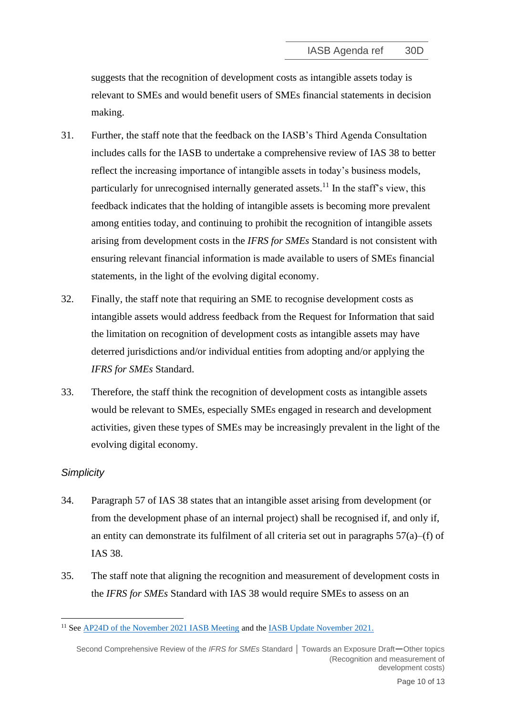suggests that the recognition of development costs as intangible assets today is relevant to SMEs and would benefit users of SMEs financial statements in decision making.

- 31. Further, the staff note that the feedback on the IASB's Third Agenda Consultation includes calls for the IASB to undertake a comprehensive review of IAS 38 to better reflect the increasing importance of intangible assets in today's business models, particularly for unrecognised internally generated assets.<sup>11</sup> In the staff's view, this feedback indicates that the holding of intangible assets is becoming more prevalent among entities today, and continuing to prohibit the recognition of intangible assets arising from development costs in the *IFRS for SMEs* Standard is not consistent with ensuring relevant financial information is made available to users of SMEs financial statements, in the light of the evolving digital economy.
- 32. Finally, the staff note that requiring an SME to recognise development costs as intangible assets would address feedback from the Request for Information that said the limitation on recognition of development costs as intangible assets may have deterred jurisdictions and/or individual entities from adopting and/or applying the *IFRS for SMEs* Standard.
- 33. Therefore, the staff think the recognition of development costs as intangible assets would be relevant to SMEs, especially SMEs engaged in research and development activities, given these types of SMEs may be increasingly prevalent in the light of the evolving digital economy.

## *Simplicity*

- 34. Paragraph 57 of IAS 38 states that an intangible asset arising from development (or from the development phase of an internal project) shall be recognised if, and only if, an entity can demonstrate its fulfilment of all criteria set out in paragraphs  $57(a)$ –(f) of IAS 38.
- 35. The staff note that aligning the recognition and measurement of development costs in the *IFRS for SMEs* Standard with IAS 38 would require SMEs to assess on an

<sup>&</sup>lt;sup>11</sup> See [AP24D of the November 2021 IASB Meeting](https://www.ifrs.org/content/dam/ifrs/meetings/2021/november/iasb/ap24d-third-agenda-consultation-feedback-summary-potential-projects-part-1.pdf) and the [IASB Update November 2021.](https://www.ifrs.org/news-and-events/updates/iasb/2021/iasb-update-november-2021/#8)

Second Comprehensive Review of the *IFRS for SMEs* Standard **│** Towards an Exposure Draft—Other topics (Recognition and measurement of development costs)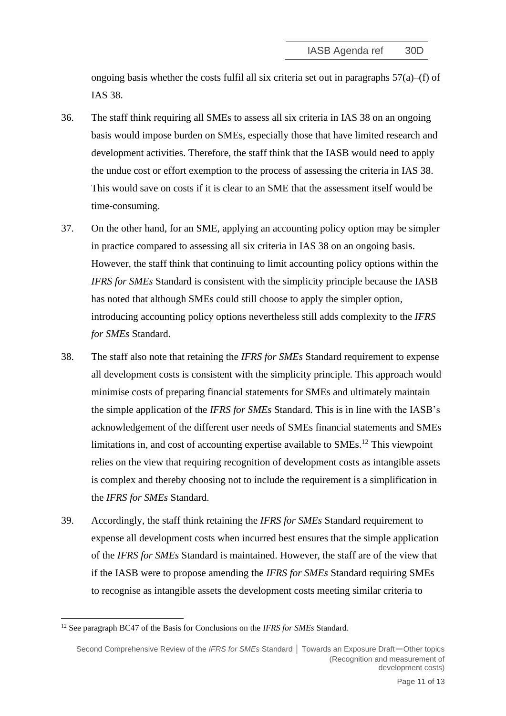ongoing basis whether the costs fulfil all six criteria set out in paragraphs  $57(a)$ –(f) of IAS 38.

- <span id="page-10-0"></span>36. The staff think requiring all SMEs to assess all six criteria in IAS 38 on an ongoing basis would impose burden on SMEs, especially those that have limited research and development activities. Therefore, the staff think that the IASB would need to apply the undue cost or effort exemption to the process of assessing the criteria in IAS 38. This would save on costs if it is clear to an SME that the assessment itself would be time-consuming.
- 37. On the other hand, for an SME, applying an accounting policy option may be simpler in practice compared to assessing all six criteria in IAS 38 on an ongoing basis. However, the staff think that continuing to limit accounting policy options within the *IFRS for SMEs* Standard is consistent with the simplicity principle because the IASB has noted that although SMEs could still choose to apply the simpler option, introducing accounting policy options nevertheless still adds complexity to the *IFRS for SMEs* Standard.
- 38. The staff also note that retaining the *IFRS for SMEs* Standard requirement to expense all development costs is consistent with the simplicity principle. This approach would minimise costs of preparing financial statements for SMEs and ultimately maintain the simple application of the *IFRS for SMEs* Standard. This is in line with the IASB's acknowledgement of the different user needs of SMEs financial statements and SMEs limitations in, and cost of accounting expertise available to  $SMEs$ <sup>12</sup>. This viewpoint relies on the view that requiring recognition of development costs as intangible assets is complex and thereby choosing not to include the requirement is a simplification in the *IFRS for SMEs* Standard.
- 39. Accordingly, the staff think retaining the *IFRS for SMEs* Standard requirement to expense all development costs when incurred best ensures that the simple application of the *IFRS for SMEs* Standard is maintained. However, the staff are of the view that if the IASB were to propose amending the *IFRS for SMEs* Standard requiring SMEs to recognise as intangible assets the development costs meeting similar criteria to

<sup>12</sup> See paragraph BC47 of the Basis for Conclusions on the *IFRS for SMEs* Standard.

Second Comprehensive Review of the *IFRS for SMEs* Standard **│** Towards an Exposure Draft—Other topics (Recognition and measurement of development costs)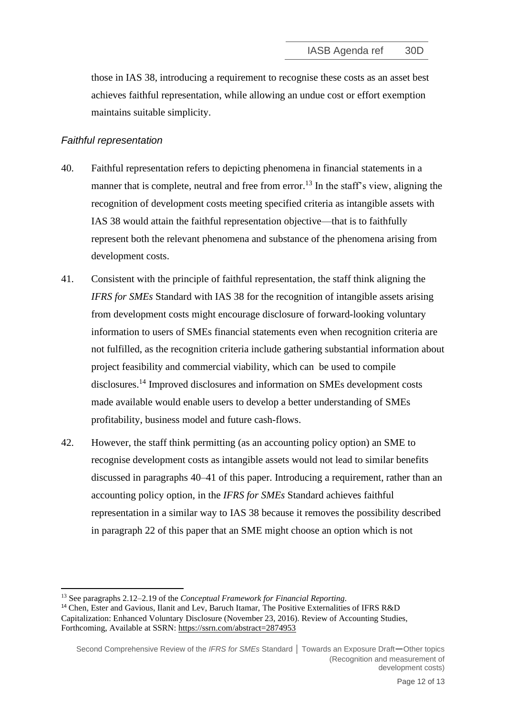those in IAS 38, introducing a requirement to recognise these costs as an asset best achieves faithful representation, while allowing an undue cost or effort exemption maintains suitable simplicity.

## *Faithful representation*

- <span id="page-11-0"></span>40. Faithful representation refers to depicting phenomena in financial statements in a manner that is complete, neutral and free from error.<sup>13</sup> In the staff's view, aligning the recognition of development costs meeting specified criteria as intangible assets with IAS 38 would attain the faithful representation objective—that is to faithfully represent both the relevant phenomena and substance of the phenomena arising from development costs.
- <span id="page-11-1"></span>41. Consistent with the principle of faithful representation, the staff think aligning the *IFRS for SMEs* Standard with IAS 38 for the recognition of intangible assets arising from development costs might encourage disclosure of forward-looking voluntary information to users of SMEs financial statements even when recognition criteria are not fulfilled, as the recognition criteria include gathering substantial information about project feasibility and commercial viability, which can be used to compile disclosures. <sup>14</sup> Improved disclosures and information on SMEs development costs made available would enable users to develop a better understanding of SMEs profitability, business model and future cash-flows.
- 42. However, the staff think permitting (as an accounting policy option) an SME to recognise development costs as intangible assets would not lead to similar benefits discussed in paragraphs [40–](#page-11-0)[41](#page-11-1) of this paper. Introducing a requirement, rather than an accounting policy option, in the *IFRS for SMEs* Standard achieves faithful representation in a similar way to IAS 38 because it removes the possibility described in paragraph [22](#page-6-1) of this paper that an SME might choose an option which is not

<sup>13</sup> See paragraphs 2.12–2.19 of the *Conceptual Framework for Financial Reporting.*

<sup>&</sup>lt;sup>14</sup> Chen, Ester and Gavious, Ilanit and Lev, Baruch Itamar, The Positive Externalities of IFRS R&D Capitalization: Enhanced Voluntary Disclosure (November 23, 2016). Review of Accounting Studies, Forthcoming, Available at SSRN: <https://ssrn.com/abstract=2874953>

Second Comprehensive Review of the *IFRS for SMEs* Standard **│** Towards an Exposure Draft—Other topics (Recognition and measurement of development costs)